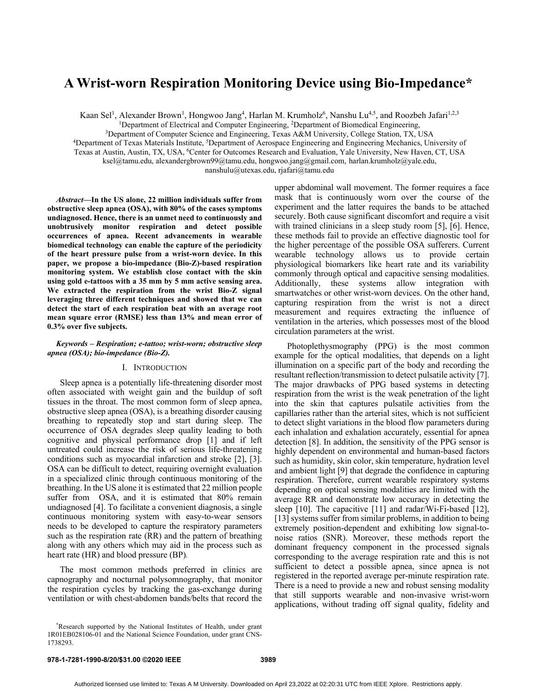# **A Wrist-worn Respiration Monitoring Device using Bio-Impedance\***

Kaan Sel<sup>1</sup>, Alexander Brown<sup>1</sup>, Hongwoo Jang<sup>4</sup>, Harlan M. Krumholz<sup>6</sup>, Nanshu Lu<sup>4,5</sup>, and Roozbeh Jafari<sup>1,2,3</sup>

<sup>1</sup>Department of Electrical and Computer Engineering, <sup>2</sup>Department of Biomedical Engineering,

3Department of Computer Science and Engineering, Texas A&M University, College Station, TX, USA

<sup>4</sup>Department of Texas Materials Institute, <sup>5</sup>Department of Aerospace Engineering and Engineering Mechanics, University of

Texas at Austin, Austin, TX, USA, 6Center for Outcomes Research and Evaluation, Yale University, New Haven, CT, USA

ksel@tamu.edu, alexandergbrown99@tamu.edu, hongwoo.jang@gmail.com, harlan.krumholz@yale.edu,

nanshulu@utexas.edu, rjafari@tamu.edu

*Abstract***—In the US alone, 22 million individuals suffer from obstructive sleep apnea (OSA), with 80% of the cases symptoms undiagnosed. Hence, there is an unmet need to continuously and unobtrusively monitor respiration and detect possible occurrences of apnea. Recent advancements in wearable biomedical technology can enable the capture of the periodicity of the heart pressure pulse from a wrist-worn device. In this paper, we propose a bio-impedance (Bio-Z)-based respiration monitoring system. We establish close contact with the skin using gold e-tattoos with a 35 mm by 5 mm active sensing area. We extracted the respiration from the wrist Bio-Z signal leveraging three different techniques and showed that we can detect the start of each respiration beat with an average root mean square error (RMSE) less than 13% and mean error of 0.3% over five subjects.**

## *Keywords – Respiration; e-tattoo; wrist-worn; obstructive sleep apnea (OSA); bio-impedance (Bio-Z).*

# I. INTRODUCTION

Sleep apnea is a potentially life-threatening disorder most often associated with weight gain and the buildup of soft tissues in the throat. The most common form of sleep apnea, obstructive sleep apnea (OSA), is a breathing disorder causing breathing to repeatedly stop and start during sleep. The occurrence of OSA degrades sleep quality leading to both cognitive and physical performance drop [1] and if left untreated could increase the risk of serious life-threatening conditions such as myocardial infarction and stroke [2], [3]. OSA can be difficult to detect, requiring overnight evaluation in a specialized clinic through continuous monitoring of the breathing. In the US alone it is estimated that 22 million people suffer from OSA, and it is estimated that 80% remain undiagnosed [4]. To facilitate a convenient diagnosis, a single continuous monitoring system with easy-to-wear sensors needs to be developed to capture the respiratory parameters such as the respiration rate (RR) and the pattern of breathing along with any others which may aid in the process such as heart rate (HR) and blood pressure (BP)*.*

The most common methods preferred in clinics are capnography and nocturnal polysomnography, that monitor the respiration cycles by tracking the gas-exchange during ventilation or with chest-abdomen bands/belts that record the upper abdominal wall movement. The former requires a face mask that is continuously worn over the course of the experiment and the latter requires the bands to be attached securely. Both cause significant discomfort and require a visit with trained clinicians in a sleep study room [5], [6]. Hence, these methods fail to provide an effective diagnostic tool for the higher percentage of the possible OSA sufferers. Current wearable technology allows us to provide certain physiological biomarkers like heart rate and its variability commonly through optical and capacitive sensing modalities. Additionally, these systems allow integration with smartwatches or other wrist-worn devices. On the other hand, capturing respiration from the wrist is not a direct measurement and requires extracting the influence of ventilation in the arteries, which possesses most of the blood circulation parameters at the wrist.

Photoplethysmography (PPG) is the most common example for the optical modalities, that depends on a light illumination on a specific part of the body and recording the resultant reflection/transmission to detect pulsatile activity [7]. The major drawbacks of PPG based systems in detecting respiration from the wrist is the weak penetration of the light into the skin that captures pulsatile activities from the capillaries rather than the arterial sites, which is not sufficient to detect slight variations in the blood flow parameters during each inhalation and exhalation accurately, essential for apnea detection [8]. In addition, the sensitivity of the PPG sensor is highly dependent on environmental and human-based factors such as humidity, skin color, skin temperature, hydration level and ambient light [9] that degrade the confidence in capturing respiration. Therefore, current wearable respiratory systems depending on optical sensing modalities are limited with the average RR and demonstrate low accuracy in detecting the sleep [10]. The capacitive [11] and radar/Wi-Fi-based [12], [13] systems suffer from similar problems, in addition to being extremely position-dependent and exhibiting low signal-tonoise ratios (SNR). Moreover, these methods report the dominant frequency component in the processed signals corresponding to the average respiration rate and this is not sufficient to detect a possible apnea, since apnea is not registered in the reported average per-minute respiration rate. There is a need to provide a new and robust sensing modality that still supports wearable and non-invasive wrist-worn applications, without trading off signal quality, fidelity and

<sup>\*</sup> Research supported by the National Institutes of Health, under grant 1R01EB028106-01 and the National Science Foundation, under grant CNS-1738293.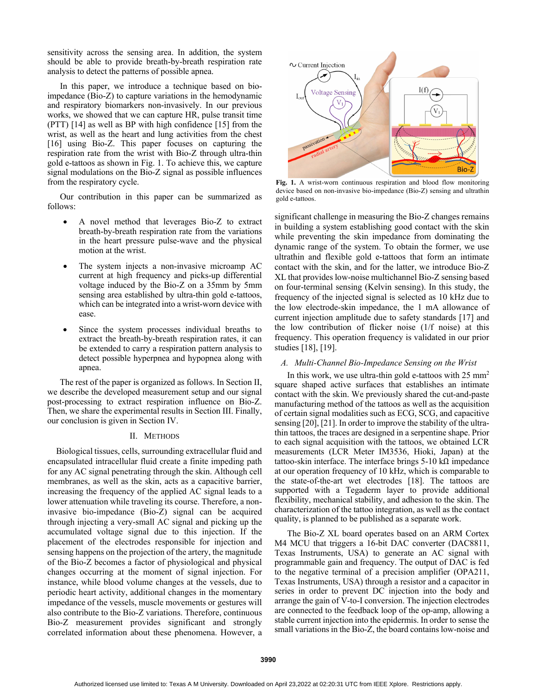sensitivity across the sensing area. In addition, the system should be able to provide breath-by-breath respiration rate analysis to detect the patterns of possible apnea.

In this paper, we introduce a technique based on bioimpedance (Bio-Z) to capture variations in the hemodynamic and respiratory biomarkers non-invasively. In our previous works, we showed that we can capture HR, pulse transit time (PTT) [14] as well as BP with high confidence [15] from the wrist, as well as the heart and lung activities from the chest [16] using Bio-Z. This paper focuses on capturing the respiration rate from the wrist with Bio-Z through ultra-thin gold e-tattoos as shown in Fig. 1. To achieve this, we capture signal modulations on the Bio-Z signal as possible influences from the respiratory cycle.

Our contribution in this paper can be summarized as follows:

- A novel method that leverages Bio-Z to extract breath-by-breath respiration rate from the variations in the heart pressure pulse-wave and the physical motion at the wrist.
- The system injects a non-invasive microamp AC current at high frequency and picks-up differential voltage induced by the Bio-Z on a 35mm by 5mm sensing area established by ultra-thin gold e-tattoos, which can be integrated into a wrist-worn device with ease.
- Since the system processes individual breaths to extract the breath-by-breath respiration rates, it can be extended to carry a respiration pattern analysis to detect possible hyperpnea and hypopnea along with apnea.

The rest of the paper is organized as follows. In Section II, we describe the developed measurement setup and our signal post-processing to extract respiration influence on Bio-Z. Then, we share the experimental results in Section III. Finally, our conclusion is given in Section IV.

#### II. METHODS

Biological tissues, cells, surrounding extracellular fluid and encapsulated intracellular fluid create a finite impeding path for any AC signal penetrating through the skin. Although cell membranes, as well as the skin, acts as a capacitive barrier, increasing the frequency of the applied AC signal leads to a lower attenuation while traveling its course. Therefore, a noninvasive bio-impedance (Bio-Z) signal can be acquired through injecting a very-small AC signal and picking up the accumulated voltage signal due to this injection. If the placement of the electrodes responsible for injection and sensing happens on the projection of the artery, the magnitude of the Bio-Z becomes a factor of physiological and physical changes occurring at the moment of signal injection. For instance, while blood volume changes at the vessels, due to periodic heart activity, additional changes in the momentary impedance of the vessels, muscle movements or gestures will also contribute to the Bio-Z variations. Therefore, continuous Bio-Z measurement provides significant and strongly correlated information about these phenomena. However, a



**Fig. 1.** A wrist-worn continuous respiration and blood flow monitoring device based on non-invasive bio-impedance (Bio-Z) sensing and ultrathin gold e-tattoos.

significant challenge in measuring the Bio-Z changes remains in building a system establishing good contact with the skin while preventing the skin impedance from dominating the dynamic range of the system. To obtain the former, we use ultrathin and flexible gold e-tattoos that form an intimate contact with the skin, and for the latter, we introduce Bio-Z XL that provides low-noise multichannel Bio-Z sensing based on four-terminal sensing (Kelvin sensing). In this study, the frequency of the injected signal is selected as 10 kHz due to the low electrode-skin impedance, the 1 mA allowance of current injection amplitude due to safety standards [17] and the low contribution of flicker noise (1/f noise) at this frequency. This operation frequency is validated in our prior studies [18], [19].

## *A. Multi-Channel Bio-Impedance Sensing on the Wrist*

In this work, we use ultra-thin gold e-tattoos with  $25 \text{ mm}^2$ square shaped active surfaces that establishes an intimate contact with the skin. We previously shared the cut-and-paste manufacturing method of the tattoos as well as the acquisition of certain signal modalities such as ECG, SCG, and capacitive sensing [20], [21]. In order to improve the stability of the ultrathin tattoos, the traces are designed in a serpentine shape. Prior to each signal acquisition with the tattoos, we obtained LCR measurements (LCR Meter IM3536, Hioki, Japan) at the tattoo-skin interface. The interface brings 5-10 kΩ impedance at our operation frequency of 10 kHz, which is comparable to the state-of-the-art wet electrodes [18]. The tattoos are supported with a Tegaderm layer to provide additional flexibility, mechanical stability, and adhesion to the skin. The characterization of the tattoo integration, as well as the contact quality, is planned to be published as a separate work.

The Bio-Z XL board operates based on an ARM Cortex M4 MCU that triggers a 16-bit DAC converter (DAC8811, Texas Instruments, USA) to generate an AC signal with programmable gain and frequency. The output of DAC is fed to the negative terminal of a precision amplifier (OPA211, Texas Instruments, USA) through a resistor and a capacitor in series in order to prevent DC injection into the body and arrange the gain of V-to-I conversion. The injection electrodes are connected to the feedback loop of the op-amp, allowing a stable current injection into the epidermis. In order to sense the small variations in the Bio-Z, the board contains low-noise and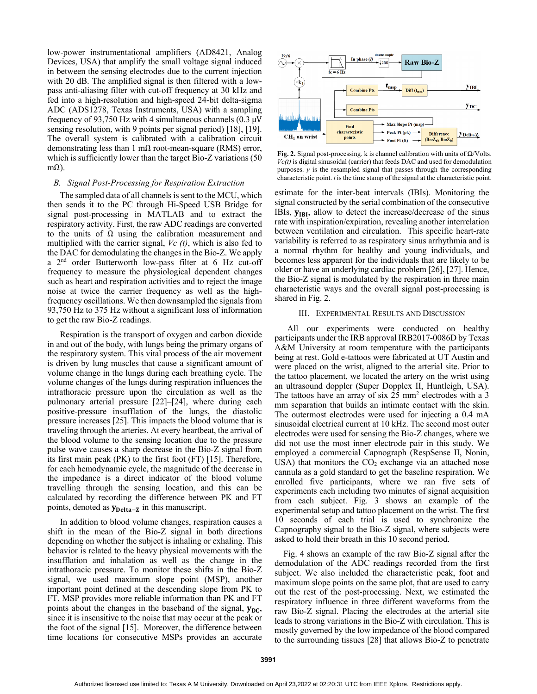low-power instrumentational amplifiers (AD8421, Analog Devices, USA) that amplify the small voltage signal induced in between the sensing electrodes due to the current injection with 20 dB. The amplified signal is then filtered with a lowpass anti-aliasing filter with cut-off frequency at 30 kHz and fed into a high-resolution and high-speed 24-bit delta-sigma ADC (ADS1278, Texas Instruments, USA) with a sampling frequency of 93,750 Hz with 4 simultaneous channels (0.3 μV sensing resolution, with 9 points per signal period) [18], [19]. The overall system is calibrated with a calibration circuit demonstrating less than 1 m $\Omega$  root-mean-square (RMS) error, which is sufficiently lower than the target Bio-Z variations (50 mΩ).

# *B. Signal Post-Processing for Respiration Extraction*

The sampled data of all channels is sent to the MCU, which then sends it to the PC through Hi-Speed USB Bridge for signal post-processing in MATLAB and to extract the respiratory activity. First, the raw ADC readings are converted to the units of  $\Omega$  using the calibration measurement and multiplied with the carrier signal, *Vc (t)*, which is also fed to the DAC for demodulating the changes in the Bio-Z. We apply a 2nd order Butterworth low-pass filter at 6 Hz cut-off frequency to measure the physiological dependent changes such as heart and respiration activities and to reject the image noise at twice the carrier frequency as well as the highfrequency oscillations. We then downsampled the signals from 93,750 Hz to 375 Hz without a significant loss of information to get the raw Bio-Z readings.

Respiration is the transport of oxygen and carbon dioxide in and out of the body, with lungs being the primary organs of the respiratory system. This vital process of the air movement is driven by lung muscles that cause a significant amount of volume change in the lungs during each breathing cycle. The volume changes of the lungs during respiration influences the intrathoracic pressure upon the circulation as well as the pulmonary arterial pressure [22]–[24], where during each positive-pressure insufflation of the lungs, the diastolic pressure increases [25]. This impacts the blood volume that is traveling through the arteries. At every heartbeat, the arrival of the blood volume to the sensing location due to the pressure pulse wave causes a sharp decrease in the Bio-Z signal from its first main peak (PK) to the first foot (FT) [15]. Therefore, for each hemodynamic cycle, the magnitude of the decrease in the impedance is a direct indicator of the blood volume travelling through the sensing location, and this can be calculated by recording the difference between PK and FT points, denoted as  $y_{\text{Delta-Z}}$  in this manuscript.

In addition to blood volume changes, respiration causes a shift in the mean of the Bio-Z signal in both directions depending on whether the subject is inhaling or exhaling. This behavior is related to the heavy physical movements with the insufflation and inhalation as well as the change in the intrathoracic pressure. To monitor these shifts in the Bio-Z signal, we used maximum slope point (MSP), another important point defined at the descending slope from PK to FT. MSP provides more reliable information than PK and FT points about the changes in the baseband of the signal,  $y_{DC}$ , since it is insensitive to the noise that may occur at the peak or the foot of the signal [15]. Moreover, the difference between time locations for consecutive MSPs provides an accurate



**Fig. 2.** Signal post-processing. k is channel calibration with units of Ω/Volts. *Vc(t)* is digital sinusoidal (carrier) that feeds DAC and used for demodulation purposes. *y* is the resampled signal that passes through the corresponding characteristic point. *t* is the time stamp of the signal at the characteristic point.

estimate for the inter-beat intervals (IBIs). Monitoring the signal constructed by the serial combination of the consecutive IBIs,  $y_{IBI}$ , allow to detect the increase/decrease of the sinus rate with inspiration/expiration, revealing another interrelation between ventilation and circulation. This specific heart-rate variability is referred to as respiratory sinus arrhythmia and is a normal rhythm for healthy and young individuals, and becomes less apparent for the individuals that are likely to be older or have an underlying cardiac problem [26], [27]. Hence, the Bio-Z signal is modulated by the respiration in three main characteristic ways and the overall signal post-processing is shared in Fig. 2.

## III. EXPERIMENTAL RESULTS AND DISCUSSION

All our experiments were conducted on healthy participants under the IRB approval IRB2017-0086D by Texas A&M University at room temperature with the participants being at rest. Gold e-tattoos were fabricated at UT Austin and were placed on the wrist, aligned to the arterial site. Prior to the tattoo placement, we located the artery on the wrist using an ultrasound doppler (Super Dopplex II, Huntleigh, USA). The tattoos have an array of six 25 mm<sup>2</sup> electrodes with a 3 mm separation that builds an intimate contact with the skin. The outermost electrodes were used for injecting a 0.4 mA sinusoidal electrical current at 10 kHz. The second most outer electrodes were used for sensing the Bio-Z changes, where we did not use the most inner electrode pair in this study. We employed a commercial Capnograph (RespSense II, Nonin, USA) that monitors the  $CO<sub>2</sub>$  exchange via an attached nose cannula as a gold standard to get the baseline respiration. We enrolled five participants, where we ran five sets of experiments each including two minutes of signal acquisition from each subject. Fig. 3 shows an example of the experimental setup and tattoo placement on the wrist. The first 10 seconds of each trial is used to synchronize the Capnography signal to the Bio-Z signal, where subjects were asked to hold their breath in this 10 second period.

Fig. 4 shows an example of the raw Bio-Z signal after the demodulation of the ADC readings recorded from the first subject. We also included the characteristic peak, foot and maximum slope points on the same plot, that are used to carry out the rest of the post-processing. Next, we estimated the respiratory influence in three different waveforms from the raw Bio-Z signal. Placing the electrodes at the arterial site leads to strong variations in the Bio-Z with circulation. This is mostly governed by the low impedance of the blood compared to the surrounding tissues [28] that allows Bio-Z to penetrate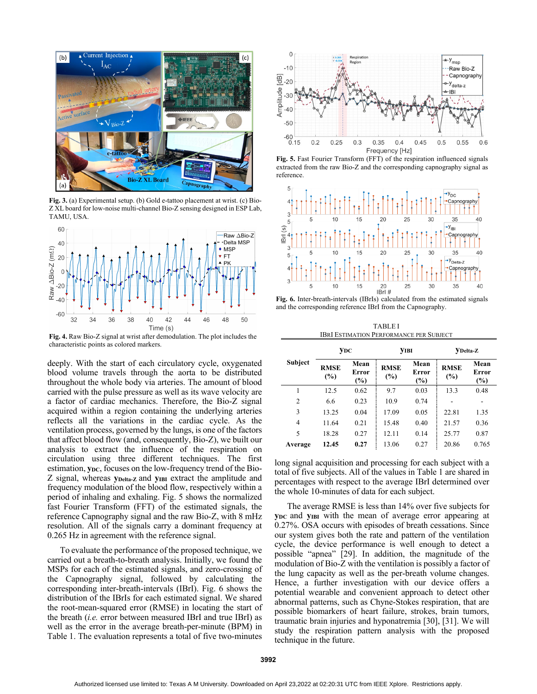

**Fig. 3.** (a) Experimental setup. (b) Gold e-tattoo placement at wrist. (c) Bio-Z XL board for low-noise multi-channel Bio-Z sensing designed in ESP Lab, TAMU, USA.



**Fig. 4.** Raw Bio-Z signal at wrist after demodulation. The plot includes the characteristic points as colored markers.

deeply. With the start of each circulatory cycle, oxygenated blood volume travels through the aorta to be distributed throughout the whole body via arteries. The amount of blood carried with the pulse pressure as well as its wave velocity are a factor of cardiac mechanics. Therefore, the Bio-Z signal acquired within a region containing the underlying arteries reflects all the variations in the cardiac cycle. As the ventilation process, governed by the lungs, is one of the factors that affect blood flow (and, consequently, Bio-Z), we built our analysis to extract the influence of the respiration on circulation using three different techniques. The first estimation, **y**<sub>DC</sub>, focuses on the low-frequency trend of the Bio-Z signal, whereas **yDelta-Z** and **yIBI** extract the amplitude and frequency modulation of the blood flow, respectively within a period of inhaling and exhaling. Fig. 5 shows the normalized fast Fourier Transform (FFT) of the estimated signals, the reference Capnography signal and the raw Bio-Z, with 8 mHz resolution. All of the signals carry a dominant frequency at 0.265 Hz in agreement with the reference signal.

To evaluate the performance of the proposed technique, we carried out a breath-to-breath analysis. Initially, we found the MSPs for each of the estimated signals, and zero-crossing of the Capnography signal, followed by calculating the corresponding inter-breath-intervals (IBrI). Fig. 6 shows the distribution of the IBrIs for each estimated signal. We shared the root-mean-squared error (RMSE) in locating the start of the breath (*i.e.* error between measured IBrI and true IBrI) as well as the error in the average breath-per-minute (BPM) in Table 1. The evaluation represents a total of five two-minutes



**Fig. 5.** Fast Fourier Transform (FFT) of the respiration influenced signals extracted from the raw Bio-Z and the corresponding capnography signal as reference.



**Fig. 6.** Inter-breath-intervals (IBrIs) calculated from the estimated signals and the corresponding reference IBrI from the Capnography.

TABLE I IBRI ESTIMATION PERFORMANCE PER SUBJECT

| Subject        | <b>YDC</b>         |                         | <b>YIBI</b>        |                      | VDelta-Z           |                                |
|----------------|--------------------|-------------------------|--------------------|----------------------|--------------------|--------------------------------|
|                | <b>RMSE</b><br>(%) | Mean<br>Error<br>$(\%)$ | <b>RMSE</b><br>(%) | Mean<br>Error<br>(%) | <b>RMSE</b><br>(%) | Mean<br><b>Error</b><br>$(\%)$ |
|                | 12.5               | 0.62                    | 9.7                | 0.03                 | 13.3               | 0.48                           |
| $\overline{2}$ | 6.6                | 0.23                    | 10.9               | 0.74                 |                    |                                |
| 3              | 13.25              | 0.04                    | 17.09              | 0.05                 | 22.81              | 1.35                           |
| $\overline{4}$ | 11.64              | 0.21                    | 15.48              | 0.40                 | 21.57              | 0.36                           |
| 5              | 18.28              | 0.27                    | 12.11              | 0.14                 | 25.77              | 0.87                           |
| Average        | 12.45              | 0.27                    | 13.06              | 0.27                 | 20.86              | 0.765                          |

long signal acquisition and processing for each subject with a total of five subjects. All of the values in Table 1 are shared in percentages with respect to the average IBrI determined over the whole 10-minutes of data for each subject.

The average RMSE is less than 14% over five subjects for **y**<sub>DC</sub> and **y**<sub>IBI</sub> with the mean of average error appearing at 0.27%. OSA occurs with episodes of breath cessations. Since our system gives both the rate and pattern of the ventilation cycle, the device performance is well enough to detect a possible "apnea" [29]. In addition, the magnitude of the modulation of Bio-Z with the ventilation is possibly a factor of the lung capacity as well as the per-breath volume changes. Hence, a further investigation with our device offers a potential wearable and convenient approach to detect other abnormal patterns, such as Chyne-Stokes respiration, that are possible biomarkers of heart failure, strokes, brain tumors, traumatic brain injuries and hyponatremia [30], [31]. We will study the respiration pattern analysis with the proposed technique in the future.